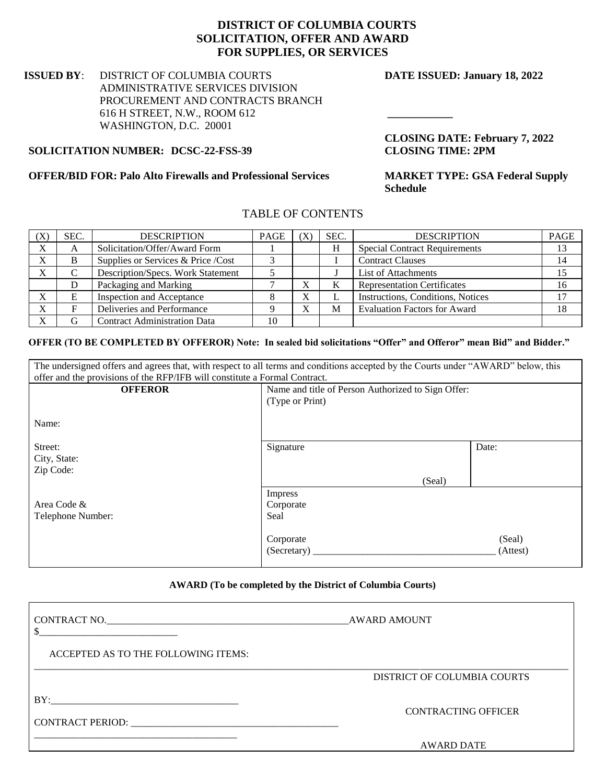### **DISTRICT OF COLUMBIA COURTS SOLICITATION, OFFER AND AWARD FOR SUPPLIES, OR SERVICES**

#### **ISSUED BY**: DISTRICT OF COLUMBIA COURTS **DATE ISSUED: January 18, 2022** ADMINISTRATIVE SERVICES DIVISION PROCUREMENT AND CONTRACTS BRANCH 616 H STREET, N.W., ROOM 612 **\_\_\_\_\_\_\_\_\_\_\_\_** WASHINGTON, D.C. 20001

**CLOSING DATE: February 7, 2022**

#### **SOLICITATION NUMBER: DCSC-22-FSS-39 CLOSING TIME: 2PM**

#### **OFFER/BID FOR: Palo Alto Firewalls and Professional Services MARKET TYPE: GSA Federal Supply**

**Schedule** 

### TABLE OF CONTENTS

| $(\rm X)$ | SEC. | <b>DESCRIPTION</b>                  | PAGE |        | SEC. | <b>DESCRIPTION</b>                   | <b>PAGE</b> |
|-----------|------|-------------------------------------|------|--------|------|--------------------------------------|-------------|
| $\Lambda$ | A    | Solicitation/Offer/Award Form       |      |        | H    | <b>Special Contract Requirements</b> |             |
| ٦z        |      | Supplies or Services & Price /Cost  |      |        |      | <b>Contract Clauses</b>              |             |
| $\Lambda$ |      | Description/Specs. Work Statement   |      |        |      | List of Attachments                  |             |
|           |      | Packaging and Marking               |      | Λ      |      | <b>Representation Certificates</b>   |             |
| ٦z<br>л   |      | Inspection and Acceptance           |      | v<br>л |      | Instructions, Conditions, Notices    |             |
| v         |      | Deliveries and Performance          |      |        | M    | <b>Evaluation Factors for Award</b>  |             |
|           |      | <b>Contract Administration Data</b> | 10   |        |      |                                      |             |

#### **OFFER (TO BE COMPLETED BY OFFEROR) Note: In sealed bid solicitations "Offer" and Offeror" mean Bid" and Bidder."**

| The undersigned offers and agrees that, with respect to all terms and conditions accepted by the Courts under "AWARD" below, this |                                                    |          |  |  |
|-----------------------------------------------------------------------------------------------------------------------------------|----------------------------------------------------|----------|--|--|
| offer and the provisions of the RFP/IFB will constitute a Formal Contract.                                                        |                                                    |          |  |  |
| <b>OFFEROR</b>                                                                                                                    | Name and title of Person Authorized to Sign Offer: |          |  |  |
|                                                                                                                                   | (Type or Print)                                    |          |  |  |
|                                                                                                                                   |                                                    |          |  |  |
| Name:                                                                                                                             |                                                    |          |  |  |
|                                                                                                                                   |                                                    |          |  |  |
| Street:                                                                                                                           | Signature                                          | Date:    |  |  |
| City, State:                                                                                                                      |                                                    |          |  |  |
| Zip Code:                                                                                                                         |                                                    |          |  |  |
|                                                                                                                                   | (Seal)                                             |          |  |  |
|                                                                                                                                   | Impress                                            |          |  |  |
| Area Code &                                                                                                                       | Corporate                                          |          |  |  |
| Telephone Number:                                                                                                                 | Seal                                               |          |  |  |
|                                                                                                                                   |                                                    |          |  |  |
|                                                                                                                                   | Corporate                                          | (Seal)   |  |  |
|                                                                                                                                   | (Secretary)                                        | (Attest) |  |  |
|                                                                                                                                   |                                                    |          |  |  |

#### **AWARD (To be completed by the District of Columbia Courts)**

| CONTRACT NO.                                                                                                          | <b>AWARD AMOUNT</b>         |
|-----------------------------------------------------------------------------------------------------------------------|-----------------------------|
| ACCEPTED AS TO THE FOLLOWING ITEMS:                                                                                   |                             |
|                                                                                                                       | DISTRICT OF COLUMBIA COURTS |
| BY:<br>CONTRACT PERIOD: THE SERVICE OF THE SERVICE OF THE SERVICE OF THE SERVICE OF THE SERVICE OF THE SERVICE OF THE | <b>CONTRACTING OFFICER</b>  |
|                                                                                                                       | <b>AWARD DATE</b>           |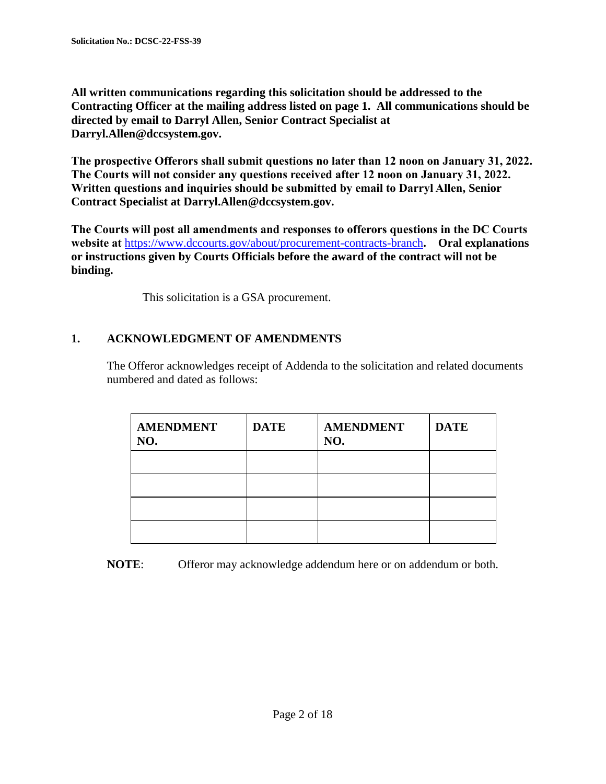**All written communications regarding this solicitation should be addressed to the Contracting Officer at the mailing address listed on page 1. All communications should be directed by email to Darryl Allen, Senior Contract Specialist at Darryl.Allen@dccsystem.gov.**

**The prospective Offerors shall submit questions no later than 12 noon on January 31, 2022. The Courts will not consider any questions received after 12 noon on January 31, 2022. Written questions and inquiries should be submitted by email to Darryl Allen, Senior Contract Specialist at Darryl.Allen@dccsystem.gov.**

**The Courts will post all amendments and responses to offerors questions in the DC Courts website at** <https://www.dccourts.gov/about/procurement-contracts-branch>**. Oral explanations or instructions given by Courts Officials before the award of the contract will not be binding.** 

This solicitation is a GSA procurement.

## **1. ACKNOWLEDGMENT OF AMENDMENTS**

The Offeror acknowledges receipt of Addenda to the solicitation and related documents numbered and dated as follows:

| <b>AMENDMENT</b><br>NO. | <b>DATE</b> | <b>AMENDMENT</b><br>NO. | <b>DATE</b> |
|-------------------------|-------------|-------------------------|-------------|
|                         |             |                         |             |
|                         |             |                         |             |
|                         |             |                         |             |
|                         |             |                         |             |

**NOTE**: Offeror may acknowledge addendum here or on addendum or both.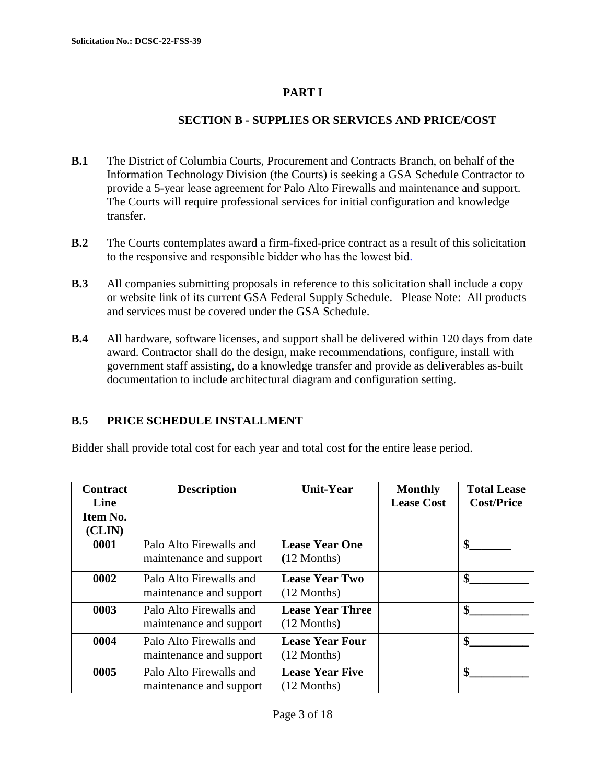# **PART I**

## **SECTION B - SUPPLIES OR SERVICES AND PRICE/COST**

- **B.1** The District of Columbia Courts, Procurement and Contracts Branch, on behalf of the Information Technology Division (the Courts) is seeking a GSA Schedule Contractor to provide a 5-year lease agreement for Palo Alto Firewalls and maintenance and support. The Courts will require professional services for initial configuration and knowledge transfer.
- **B.2** The Courts contemplates award a firm-fixed-price contract as a result of this solicitation to the responsive and responsible bidder who has the lowest bid.
- **B.3** All companies submitting proposals in reference to this solicitation shall include a copy or website link of its current GSA Federal Supply Schedule. Please Note: All products and services must be covered under the GSA Schedule.
- **B.4** All hardware, software licenses, and support shall be delivered within 120 days from date award. Contractor shall do the design, make recommendations, configure, install with government staff assisting, do a knowledge transfer and provide as deliverables as-built documentation to include architectural diagram and configuration setting.

## **B.5 PRICE SCHEDULE INSTALLMENT**

Bidder shall provide total cost for each year and total cost for the entire lease period.

| <b>Contract</b><br>Line<br>Item No.<br>(CLIN) | <b>Description</b>                                 | <b>Unit-Year</b>                         | <b>Monthly</b><br><b>Lease Cost</b> | <b>Total Lease</b><br><b>Cost/Price</b> |
|-----------------------------------------------|----------------------------------------------------|------------------------------------------|-------------------------------------|-----------------------------------------|
| 0001                                          | Palo Alto Firewalls and<br>maintenance and support | <b>Lease Year One</b><br>$(12$ Months)   |                                     | \$                                      |
| 0002                                          | Palo Alto Firewalls and<br>maintenance and support | <b>Lease Year Two</b><br>$(12$ Months)   |                                     | \$                                      |
| 0003                                          | Palo Alto Firewalls and<br>maintenance and support | <b>Lease Year Three</b><br>$(12$ Months) |                                     | \$                                      |
| 0004                                          | Palo Alto Firewalls and<br>maintenance and support | <b>Lease Year Four</b><br>$(12$ Months)  |                                     | \$                                      |
| 0005                                          | Palo Alto Firewalls and<br>maintenance and support | <b>Lease Year Five</b><br>$(12$ Months)  |                                     | \$                                      |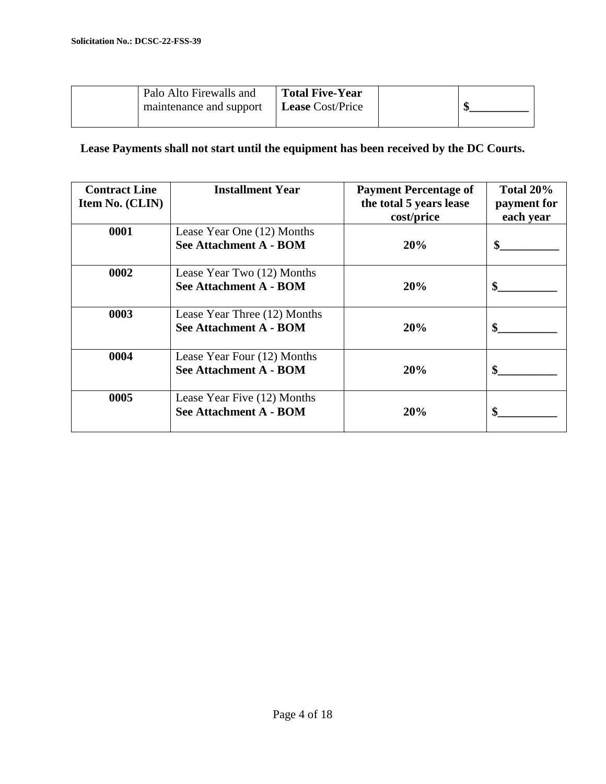|  | Palo Alto Firewalls and | <b>Total Five-Year</b>  |  |
|--|-------------------------|-------------------------|--|
|  | maintenance and support | <b>Lease</b> Cost/Price |  |
|  |                         |                         |  |

**Lease Payments shall not start until the equipment has been received by the DC Courts.**

| <b>Contract Line</b><br>Item No. (CLIN) | <b>Installment Year</b>                                       | <b>Payment Percentage of</b><br>the total 5 years lease<br>cost/price | Total 20%<br>payment for<br>each year |
|-----------------------------------------|---------------------------------------------------------------|-----------------------------------------------------------------------|---------------------------------------|
| 0001                                    | Lease Year One (12) Months<br><b>See Attachment A - BOM</b>   | 20%                                                                   | \$                                    |
| 0002                                    | Lease Year Two (12) Months<br><b>See Attachment A - BOM</b>   | 20%                                                                   | \$                                    |
| 0003                                    | Lease Year Three (12) Months<br><b>See Attachment A - BOM</b> | 20%                                                                   | \$                                    |
| 0004                                    | Lease Year Four (12) Months<br><b>See Attachment A - BOM</b>  | 20%                                                                   | \$                                    |
| 0005                                    | Lease Year Five (12) Months<br><b>See Attachment A - BOM</b>  | 20%                                                                   | \$                                    |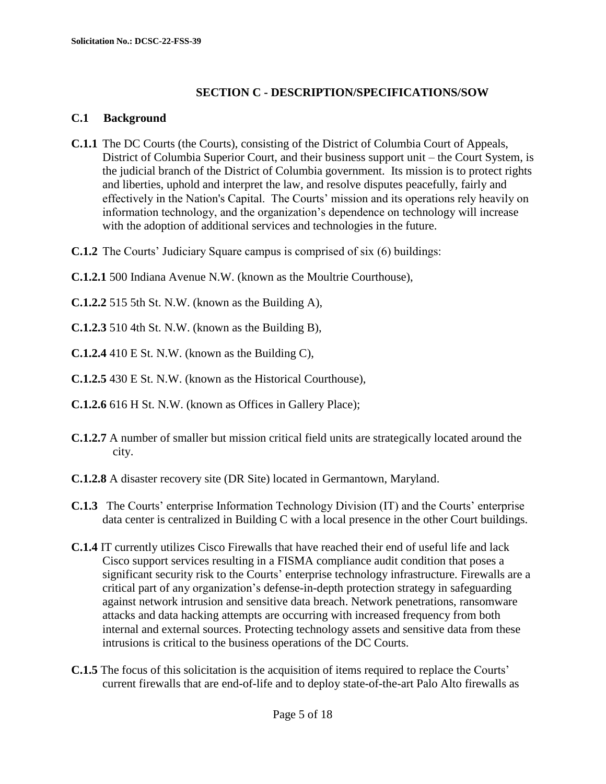## **SECTION C - DESCRIPTION/SPECIFICATIONS/SOW**

### **C.1 Background**

- **C.1.1** The DC Courts (the Courts), consisting of the District of Columbia Court of Appeals, District of Columbia Superior Court, and their business support unit – the Court System, is the judicial branch of the District of Columbia government. Its mission is to protect rights and liberties, uphold and interpret the law, and resolve disputes peacefully, fairly and effectively in the Nation's Capital. The Courts' mission and its operations rely heavily on information technology, and the organization's dependence on technology will increase with the adoption of additional services and technologies in the future.
- **C.1.2** The Courts' Judiciary Square campus is comprised of six (6) buildings:
- **C.1.2.1** 500 Indiana Avenue N.W. (known as the Moultrie Courthouse),
- **C.1.2.2** 515 5th St. N.W. (known as the Building A),
- **C.1.2.3** 510 4th St. N.W. (known as the Building B),
- **C.1.2.4** 410 E St. N.W. (known as the Building C),
- **C.1.2.5** 430 E St. N.W. (known as the Historical Courthouse),
- **C.1.2.6** 616 H St. N.W. (known as Offices in Gallery Place);
- **C.1.2.7** A number of smaller but mission critical field units are strategically located around the city.
- **C.1.2.8** A disaster recovery site (DR Site) located in Germantown, Maryland.
- **C.1.3** The Courts' enterprise Information Technology Division (IT) and the Courts' enterprise data center is centralized in Building C with a local presence in the other Court buildings.
- **C.1.4** IT currently utilizes Cisco Firewalls that have reached their end of useful life and lack Cisco support services resulting in a FISMA compliance audit condition that poses a significant security risk to the Courts' enterprise technology infrastructure. Firewalls are a critical part of any organization's defense-in-depth protection strategy in safeguarding against network intrusion and sensitive data breach. Network penetrations, ransomware attacks and data hacking attempts are occurring with increased frequency from both internal and external sources. Protecting technology assets and sensitive data from these intrusions is critical to the business operations of the DC Courts.
- **C.1.5** The focus of this solicitation is the acquisition of items required to replace the Courts' current firewalls that are end-of-life and to deploy state-of-the-art Palo Alto firewalls as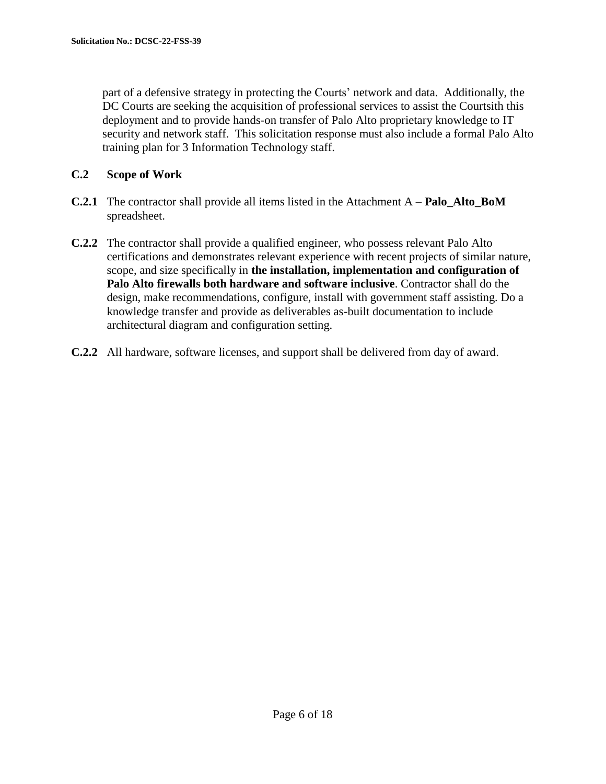part of a defensive strategy in protecting the Courts' network and data. Additionally, the DC Courts are seeking the acquisition of professional services to assist the Courtsith this deployment and to provide hands-on transfer of Palo Alto proprietary knowledge to IT security and network staff. This solicitation response must also include a formal Palo Alto training plan for 3 Information Technology staff.

### **C.2 Scope of Work**

- **C.2.1** The contractor shall provide all items listed in the Attachment A **Palo\_Alto\_BoM** spreadsheet.
- **C.2.2** The contractor shall provide a qualified engineer, who possess relevant Palo Alto certifications and demonstrates relevant experience with recent projects of similar nature, scope, and size specifically in **the installation, implementation and configuration of Palo Alto firewalls both hardware and software inclusive**. Contractor shall do the design, make recommendations, configure, install with government staff assisting. Do a knowledge transfer and provide as deliverables as-built documentation to include architectural diagram and configuration setting.
- **C.2.2** All hardware, software licenses, and support shall be delivered from day of award.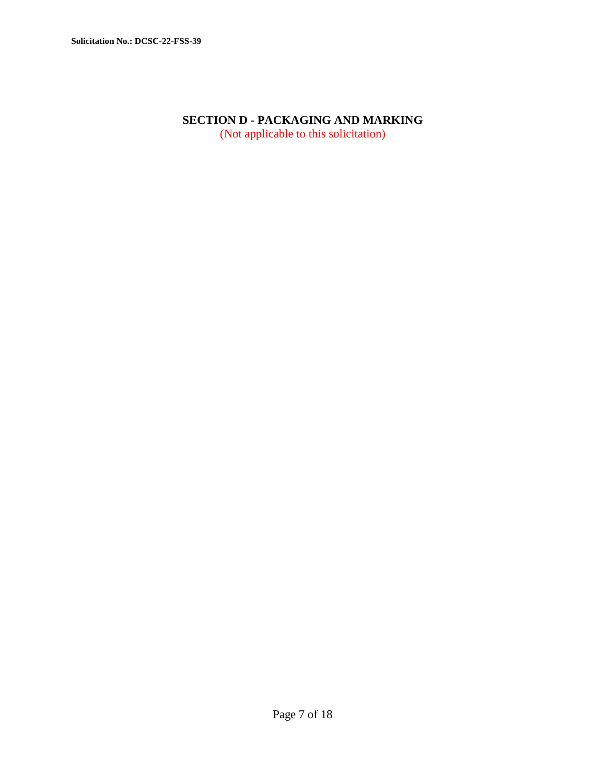## **SECTION D - PACKAGING AND MARKING** (Not applicable to this solicitation)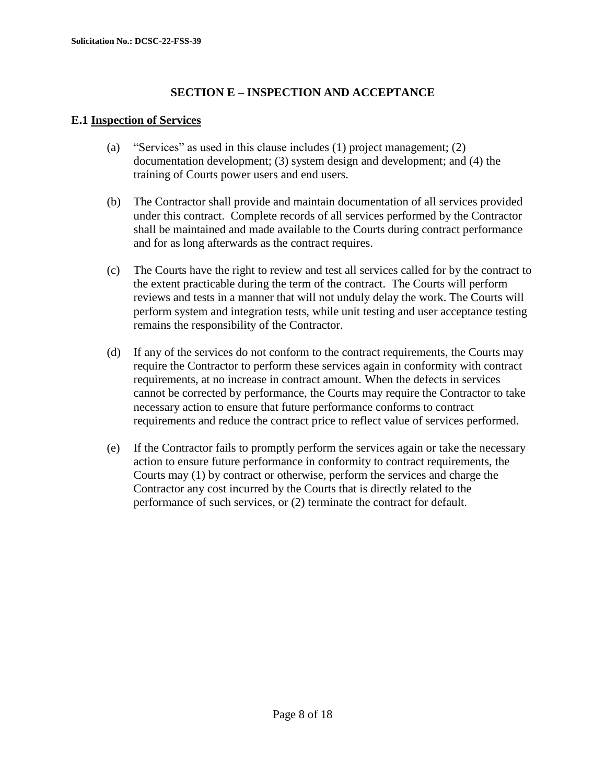## **SECTION E – INSPECTION AND ACCEPTANCE**

## **E.1 Inspection of Services**

- (a) "Services" as used in this clause includes (1) project management; (2) documentation development; (3) system design and development; and (4) the training of Courts power users and end users.
- (b) The Contractor shall provide and maintain documentation of all services provided under this contract. Complete records of all services performed by the Contractor shall be maintained and made available to the Courts during contract performance and for as long afterwards as the contract requires.
- (c) The Courts have the right to review and test all services called for by the contract to the extent practicable during the term of the contract. The Courts will perform reviews and tests in a manner that will not unduly delay the work. The Courts will perform system and integration tests, while unit testing and user acceptance testing remains the responsibility of the Contractor.
- (d) If any of the services do not conform to the contract requirements, the Courts may require the Contractor to perform these services again in conformity with contract requirements, at no increase in contract amount. When the defects in services cannot be corrected by performance, the Courts may require the Contractor to take necessary action to ensure that future performance conforms to contract requirements and reduce the contract price to reflect value of services performed.
- (e) If the Contractor fails to promptly perform the services again or take the necessary action to ensure future performance in conformity to contract requirements, the Courts may (1) by contract or otherwise, perform the services and charge the Contractor any cost incurred by the Courts that is directly related to the performance of such services, or (2) terminate the contract for default.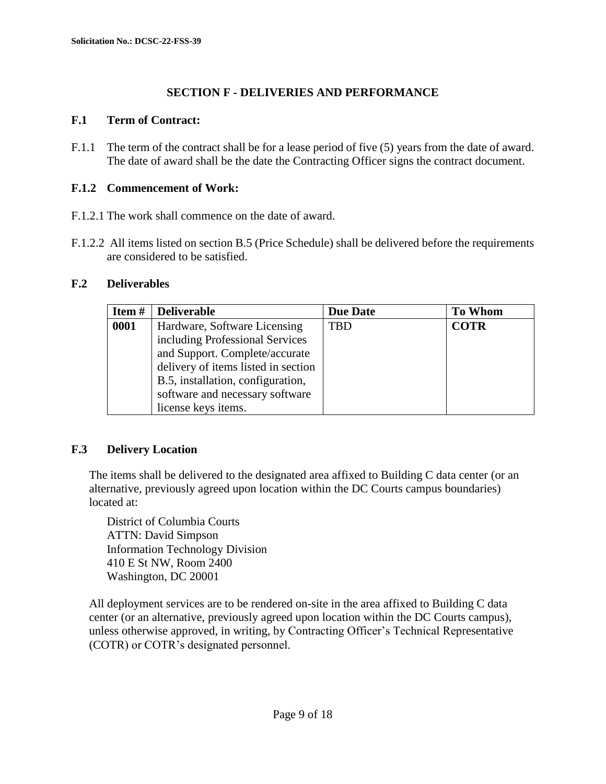## **SECTION F - DELIVERIES AND PERFORMANCE**

### **F.1 Term of Contract:**

F.1.1 The term of the contract shall be for a lease period of five (5) years from the date of award. The date of award shall be the date the Contracting Officer signs the contract document.

### **F.1.2 Commencement of Work:**

- F.1.2.1 The work shall commence on the date of award.
- F.1.2.2 All items listed on section B.5 (Price Schedule) shall be delivered before the requirements are considered to be satisfied.

### **F.2 Deliverables**

| Item# | <b>Deliverable</b>                  | <b>Due Date</b> | <b>To Whom</b> |
|-------|-------------------------------------|-----------------|----------------|
| 0001  | Hardware, Software Licensing        | <b>TBD</b>      | <b>COTR</b>    |
|       | including Professional Services     |                 |                |
|       | and Support. Complete/accurate      |                 |                |
|       | delivery of items listed in section |                 |                |
|       | B.5, installation, configuration,   |                 |                |
|       | software and necessary software     |                 |                |
|       | license keys items.                 |                 |                |

### **F.3 Delivery Location**

The items shall be delivered to the designated area affixed to Building C data center (or an alternative, previously agreed upon location within the DC Courts campus boundaries) located at:

District of Columbia Courts ATTN: David Simpson Information Technology Division 410 E St NW, Room 2400 Washington, DC 20001

All deployment services are to be rendered on-site in the area affixed to Building C data center (or an alternative, previously agreed upon location within the DC Courts campus), unless otherwise approved, in writing, by Contracting Officer's Technical Representative (COTR) or COTR's designated personnel.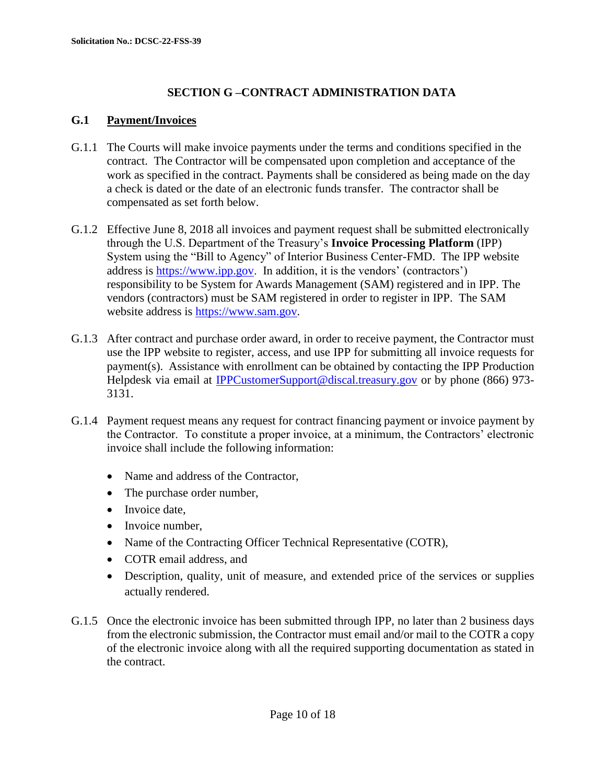## **SECTION G –CONTRACT ADMINISTRATION DATA**

## **G.1 Payment/Invoices**

- G.1.1 The Courts will make invoice payments under the terms and conditions specified in the contract. The Contractor will be compensated upon completion and acceptance of the work as specified in the contract. Payments shall be considered as being made on the day a check is dated or the date of an electronic funds transfer. The contractor shall be compensated as set forth below.
- G.1.2 Effective June 8, 2018 all invoices and payment request shall be submitted electronically through the U.S. Department of the Treasury's **Invoice Processing Platform** (IPP) System using the "Bill to Agency" of Interior Business Center-FMD. The IPP website address is [https://www.ipp.gov.](https://www.ipp.gov/) In addition, it is the vendors' (contractors') responsibility to be System for Awards Management (SAM) registered and in IPP. The vendors (contractors) must be SAM registered in order to register in IPP. The SAM website address is [https://www.sam.gov.](https://www.sam.gov/)
- G.1.3 After contract and purchase order award, in order to receive payment, the Contractor must use the IPP website to register, access, and use IPP for submitting all invoice requests for payment(s). Assistance with enrollment can be obtained by contacting the IPP Production Helpdesk via email at [IPPCustomerSupport@discal.treasury.gov](mailto:IPPCustomerSupport@discal.treasury.gov) or by phone (866) 973-3131.
- G.1.4 Payment request means any request for contract financing payment or invoice payment by the Contractor. To constitute a proper invoice, at a minimum, the Contractors' electronic invoice shall include the following information:
	- Name and address of the Contractor,
	- The purchase order number,
	- Invoice date,
	- Invoice number,
	- Name of the Contracting Officer Technical Representative (COTR),
	- COTR email address, and
	- Description, quality, unit of measure, and extended price of the services or supplies actually rendered.
- G.1.5 Once the electronic invoice has been submitted through IPP, no later than 2 business days from the electronic submission, the Contractor must email and/or mail to the COTR a copy of the electronic invoice along with all the required supporting documentation as stated in the contract.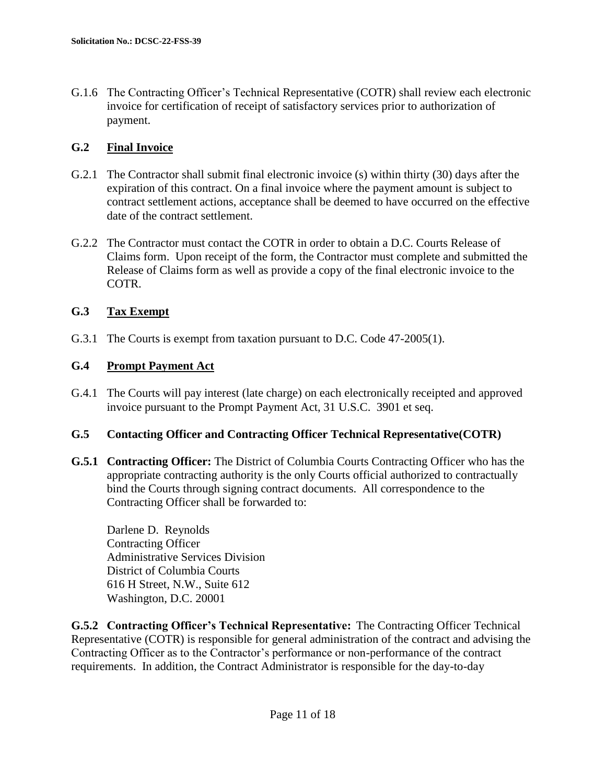G.1.6 The Contracting Officer's Technical Representative (COTR) shall review each electronic invoice for certification of receipt of satisfactory services prior to authorization of payment.

## **G.2 Final Invoice**

- G.2.1 The Contractor shall submit final electronic invoice (s) within thirty (30) days after the expiration of this contract. On a final invoice where the payment amount is subject to contract settlement actions, acceptance shall be deemed to have occurred on the effective date of the contract settlement.
- G.2.2 The Contractor must contact the COTR in order to obtain a D.C. Courts Release of Claims form. Upon receipt of the form, the Contractor must complete and submitted the Release of Claims form as well as provide a copy of the final electronic invoice to the COTR.

## **G.3 Tax Exempt**

G.3.1 The Courts is exempt from taxation pursuant to D.C. Code 47-2005(1).

## **G.4 Prompt Payment Act**

G.4.1 The Courts will pay interest (late charge) on each electronically receipted and approved invoice pursuant to the Prompt Payment Act, 31 U.S.C. 3901 et seq.

### **G.5 Contacting Officer and Contracting Officer Technical Representative(COTR)**

**G.5.1 Contracting Officer:** The District of Columbia Courts Contracting Officer who has the appropriate contracting authority is the only Courts official authorized to contractually bind the Courts through signing contract documents. All correspondence to the Contracting Officer shall be forwarded to:

Darlene D. Reynolds Contracting Officer Administrative Services Division District of Columbia Courts 616 H Street, N.W., Suite 612 Washington, D.C. 20001

**G.5.2 Contracting Officer's Technical Representative:** The Contracting Officer Technical Representative (COTR) is responsible for general administration of the contract and advising the Contracting Officer as to the Contractor's performance or non-performance of the contract requirements. In addition, the Contract Administrator is responsible for the day-to-day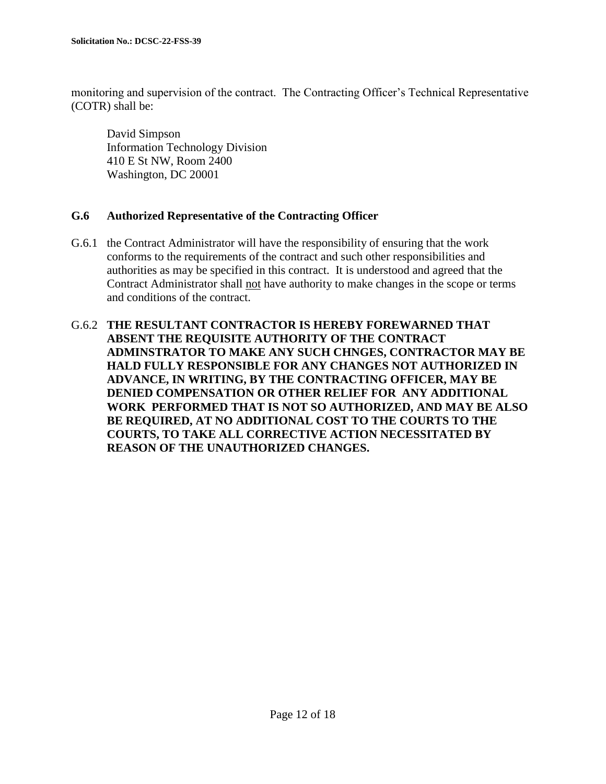monitoring and supervision of the contract. The Contracting Officer's Technical Representative (COTR) shall be:

David Simpson Information Technology Division 410 E St NW, Room 2400 Washington, DC 20001

### **G.6 Authorized Representative of the Contracting Officer**

- G.6.1 the Contract Administrator will have the responsibility of ensuring that the work conforms to the requirements of the contract and such other responsibilities and authorities as may be specified in this contract. It is understood and agreed that the Contract Administrator shall not have authority to make changes in the scope or terms and conditions of the contract.
- G.6.2 **THE RESULTANT CONTRACTOR IS HEREBY FOREWARNED THAT ABSENT THE REQUISITE AUTHORITY OF THE CONTRACT ADMINSTRATOR TO MAKE ANY SUCH CHNGES, CONTRACTOR MAY BE HALD FULLY RESPONSIBLE FOR ANY CHANGES NOT AUTHORIZED IN ADVANCE, IN WRITING, BY THE CONTRACTING OFFICER, MAY BE DENIED COMPENSATION OR OTHER RELIEF FOR ANY ADDITIONAL WORK PERFORMED THAT IS NOT SO AUTHORIZED, AND MAY BE ALSO BE REQUIRED, AT NO ADDITIONAL COST TO THE COURTS TO THE COURTS, TO TAKE ALL CORRECTIVE ACTION NECESSITATED BY REASON OF THE UNAUTHORIZED CHANGES.**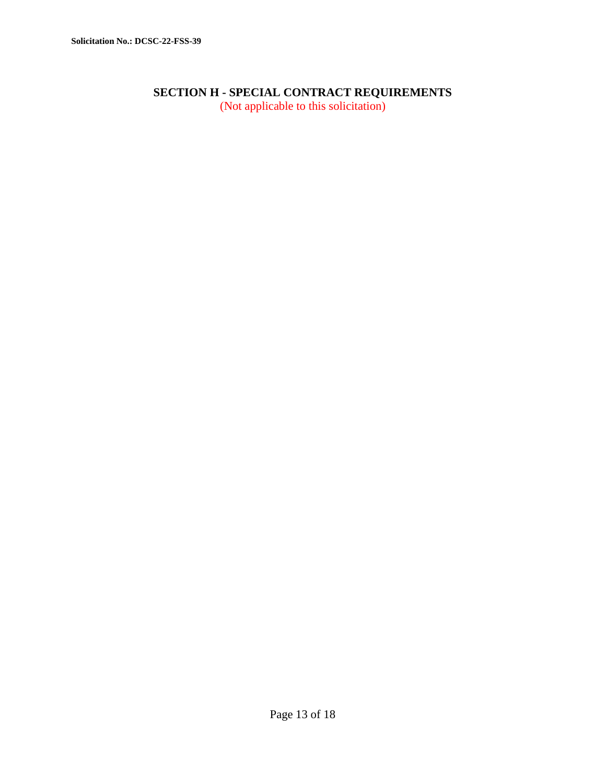## **SECTION H - SPECIAL CONTRACT REQUIREMENTS**

(Not applicable to this solicitation)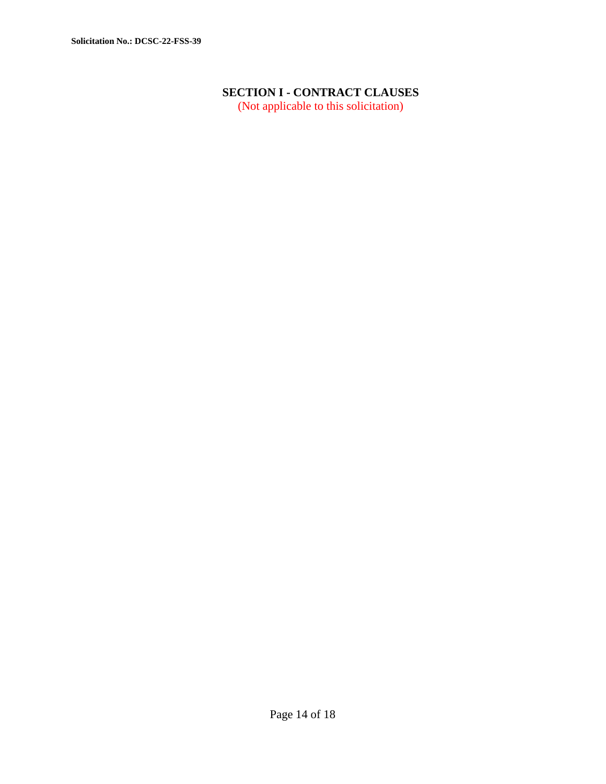# **SECTION I - CONTRACT CLAUSES**

(Not applicable to this solicitation)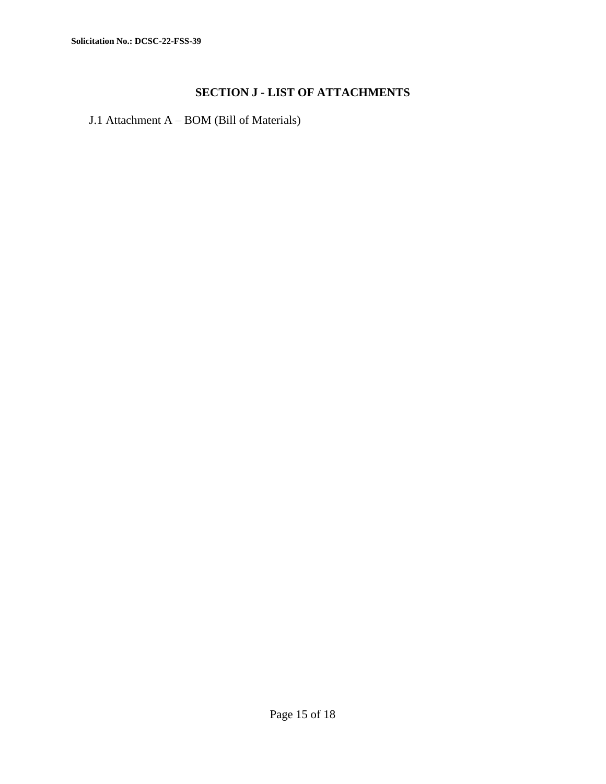## **SECTION J - LIST OF ATTACHMENTS**

J.1 Attachment A – BOM (Bill of Materials)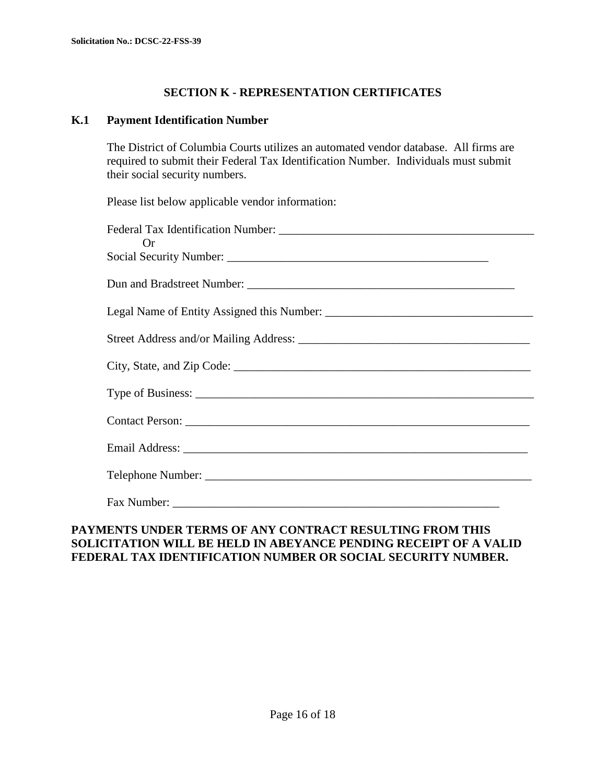## **SECTION K - REPRESENTATION CERTIFICATES**

### **K.1 Payment Identification Number**

The District of Columbia Courts utilizes an automated vendor database. All firms are required to submit their Federal Tax Identification Number. Individuals must submit their social security numbers.

Please list below applicable vendor information:

| Or |
|----|
|    |
|    |
|    |
|    |
|    |
|    |
|    |
|    |
|    |
|    |

### **PAYMENTS UNDER TERMS OF ANY CONTRACT RESULTING FROM THIS SOLICITATION WILL BE HELD IN ABEYANCE PENDING RECEIPT OF A VALID FEDERAL TAX IDENTIFICATION NUMBER OR SOCIAL SECURITY NUMBER.**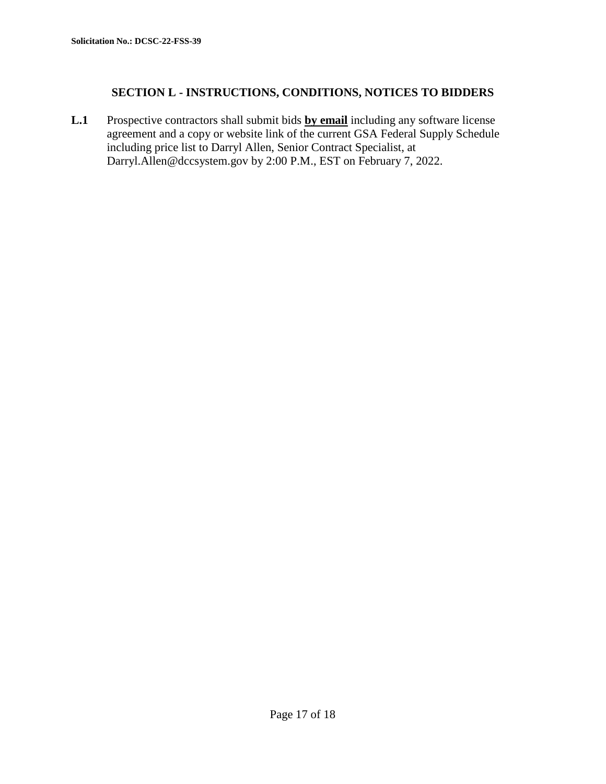### **SECTION L - INSTRUCTIONS, CONDITIONS, NOTICES TO BIDDERS**

**L.1** Prospective contractors shall submit bids **by email** including any software license agreement and a copy or website link of the current GSA Federal Supply Schedule including price list to Darryl Allen, Senior Contract Specialist, at Darryl.Allen@dccsystem.gov by 2:00 P.M., EST on February 7, 2022.